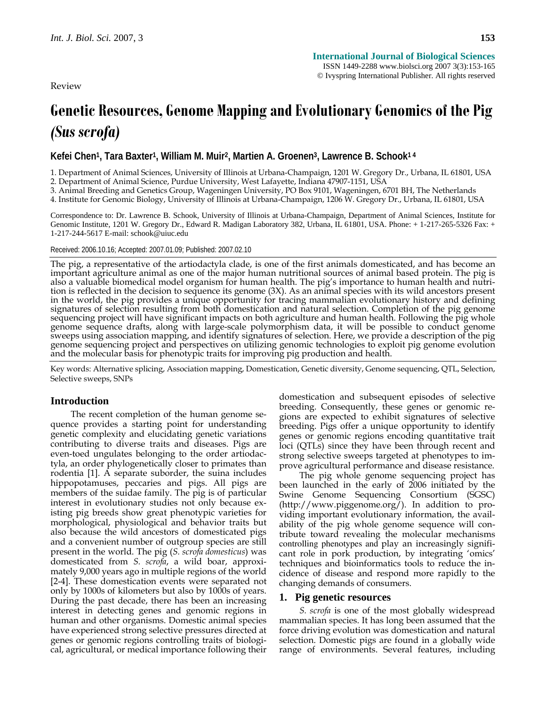Review

# **Genetic Resources, Genome Mapping and Evolutionary Genomics of the Pig**  *(Sus scrofa)*

# **Kefei Chen1, Tara Baxter1, William M. Muir2, Martien A. Groenen3, Lawrence B. Schook1 4**

1. Department of Animal Sciences, University of Illinois at Urbana-Champaign, 1201 W. Gregory Dr., Urbana, IL 61801, USA

2. Department of Animal Science, Purdue University, West Lafayette, Indiana 47907-1151, USA

3. Animal Breeding and Genetics Group, Wageningen University, PO Box 9101, Wageningen, 6701 BH, The Netherlands

4. Institute for Genomic Biology, University of Illinois at Urbana-Champaign, 1206 W. Gregory Dr., Urbana, IL 61801, USA

Correspondence to: Dr. Lawrence B. Schook, University of Illinois at Urbana-Champaign, Department of Animal Sciences, Institute for Genomic Institute, 1201 W. Gregory Dr., Edward R. Madigan Laboratory 382, Urbana, IL 61801, USA. Phone: + 1-217-265-5326 Fax: + 1-217-244-5617 E-mail: schook@uiuc.edu

#### Received: 2006.10.16; Accepted: 2007.01.09; Published: 2007.02.10

The pig, a representative of the artiodactyla clade, is one of the first animals domesticated, and has become an important agriculture animal as one of the major human nutritional sources of animal based protein. The pig is also a valuable biomedical model organism for human health. The pig's importance to human health and nutrition is reflected in the decision to sequence its genome (3X). As an animal species with its wild ancestors present in the world, the pig provides a unique opportunity for tracing mammalian evolutionary history and defining signatures of selection resulting from both domestication and natural selection. Completion of the pig genome sequencing project will have significant impacts on both agriculture and human health. Following the pig whole genome sequence drafts, along with large-scale polymorphism data, it will be possible to conduct genome sweeps using association mapping, and identify signatures of selection. Here, we provide a description of the pig genome sequencing project and perspectives on utilizing genomic technologies to exploit pig genome evolution and the molecular basis for phenotypic traits for improving pig production and health.

Key words: Alternative splicing, Association mapping, Domestication, Genetic diversity, Genome sequencing, QTL, Selection, Selective sweeps, SNPs

# **Introduction**

The recent completion of the human genome sequence provides a starting point for understanding genetic complexity and elucidating genetic variations contributing to diverse traits and diseases. Pigs are even-toed ungulates belonging to the order artiodactyla, an order phylogenetically closer to primates than rodentia [1]. A separate suborder, the suina includes hippopotamuses, peccaries and pigs. All pigs are members of the suidae family. The pig is of particular interest in evolutionary studies not only because existing pig breeds show great phenotypic varieties for morphological, physiological and behavior traits but also because the wild ancestors of domesticated pigs and a convenient number of outgroup species are still present in the world. The pig (*S. scrofa domesticus*) was domesticated from *S. scrofa*, a wild boar, approximately 9,000 years ago in multiple regions of the world [2-4]. These domestication events were separated not only by 1000s of kilometers but also by 1000s of years. During the past decade, there has been an increasing interest in detecting genes and genomic regions in human and other organisms. Domestic animal species have experienced strong selective pressures directed at genes or genomic regions controlling traits of biological, agricultural, or medical importance following their domestication and subsequent episodes of selective breeding. Consequently, these genes or genomic regions are expected to exhibit signatures of selective breeding. Pigs offer a unique opportunity to identify genes or genomic regions encoding quantitative trait loci (QTLs) since they have been through recent and strong selective sweeps targeted at phenotypes to improve agricultural performance and disease resistance.

The pig whole genome sequencing project has been launched in the early of 2006 initiated by the Swine Genome Sequencing Consortium (SGSC) (http://www.piggenome.org/). In addition to providing important evolutionary information, the availability of the pig whole genome sequence will contribute toward revealing the molecular mechanisms controlling phenotypes and play an increasingly significant role in pork production, by integrating 'omics' techniques and bioinformatics tools to reduce the incidence of disease and respond more rapidly to the changing demands of consumers.

#### **1. Pig genetic resources**

*S. scrofa* is one of the most globally widespread mammalian species. It has long been assumed that the force driving evolution was domestication and natural selection. Domestic pigs are found in a globally wide range of environments. Several features, including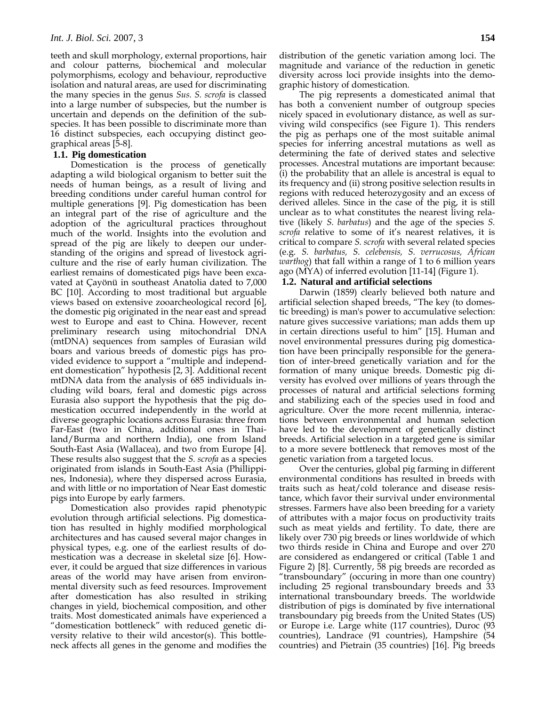teeth and skull morphology, external proportions, hair and colour patterns, biochemical and molecular polymorphisms, ecology and behaviour, reproductive isolation and natural areas, are used for discriminating the many species in the genus *Sus. S. scrofa* is classed into a large number of subspecies, but the number is uncertain and depends on the definition of the subspecies. It has been possible to discriminate more than 16 distinct subspecies, each occupying distinct geographical areas [5-8].

# **1.1. Pig domestication**

Domestication is the process of genetically adapting a wild biological organism to better suit the needs of human beings, as a result of living and breeding conditions under careful human control for multiple generations [9]. Pig domestication has been an integral part of the rise of agriculture and the adoption of the agricultural practices throughout much of the world. Insights into the evolution and spread of the pig are likely to deepen our understanding of the origins and spread of livestock agriculture and the rise of early human civilization. The earliest remains of domesticated pigs have been excavated at Çayönü in southeast Anatolia dated to 7,000 BC [10]. According to most traditional but arguable views based on extensive zooarcheological record [6], the domestic pig originated in the near east and spread west to Europe and east to China. However, recent preliminary research using mitochondrial DNA (mtDNA) sequences from samples of Eurasian wild boars and various breeds of domestic pigs has provided evidence to support a "multiple and independent domestication" hypothesis [2, 3]. Additional recent mtDNA data from the analysis of 685 individuals including wild boars, feral and domestic pigs across Eurasia also support the hypothesis that the pig domestication occurred independently in the world at diverse geographic locations across Eurasia: three from Far-East (two in China, additional ones in Thailand/Burma and northern India), one from Island South-East Asia (Wallacea), and two from Europe [4]. These results also suggest that the *S. scrofa* as a species originated from islands in South-East Asia (Phillippines, Indonesia), where they dispersed across Eurasia, and with little or no importation of Near East domestic pigs into Europe by early farmers.

Domestication also provides rapid phenotypic evolution through artificial selections. Pig domestication has resulted in highly modified morphological architectures and has caused several major changes in physical types, e.g. one of the earliest results of domestication was a decrease in skeletal size [6]. However, it could be argued that size differences in various areas of the world may have arisen from environmental diversity such as feed resources. Improvement after domestication has also resulted in striking changes in yield, biochemical composition, and other traits. Most domesticated animals have experienced a "domestication bottleneck" with reduced genetic diversity relative to their wild ancestor(s). This bottleneck affects all genes in the genome and modifies the distribution of the genetic variation among loci. The magnitude and variance of the reduction in genetic diversity across loci provide insights into the demographic history of domestication.

The pig represents a domesticated animal that has both a convenient number of outgroup species nicely spaced in evolutionary distance, as well as surviving wild conspecifics (see Figure 1). This renders the pig as perhaps one of the most suitable animal species for inferring ancestral mutations as well as determining the fate of derived states and selective processes. Ancestral mutations are important because: (i) the probability that an allele is ancestral is equal to its frequency and (ii) strong positive selection results in regions with reduced heterozygosity and an excess of derived alleles. Since in the case of the pig, it is still unclear as to what constitutes the nearest living relative (likely *S. barbatus*) and the age of the species *S. scrofa* relative to some of it's nearest relatives, it is critical to compare *S. scrofa* with several related species (e.g. *S. barbatus, S. celebensis, S. verrucosus, African warthog*) that fall within a range of 1 to 6 million years ago (MYA) of inferred evolution [11-14] (Figure 1).

## **1.2. Natural and artificial selections**

Darwin (1859) clearly believed both nature and artificial selection shaped breeds, "The key (to domestic breeding) is man's power to accumulative selection: nature gives successive variations; man adds them up in certain directions useful to him" [15]. Human and novel environmental pressures during pig domestication have been principally responsible for the generation of inter-breed genetically variation and for the formation of many unique breeds. Domestic pig diversity has evolved over millions of years through the processes of natural and artificial selections forming and stabilizing each of the species used in food and agriculture. Over the more recent millennia, interactions between environmental and human selection have led to the development of genetically distinct breeds. Artificial selection in a targeted gene is similar to a more severe bottleneck that removes most of the genetic variation from a targeted locus.

Over the centuries, global pig farming in different environmental conditions has resulted in breeds with traits such as heat/cold tolerance and disease resistance, which favor their survival under environmental stresses. Farmers have also been breeding for a variety of attributes with a major focus on productivity traits such as meat yields and fertility. To date, there are likely over 730 pig breeds or lines worldwide of which two thirds reside in China and Europe and over 270 are considered as endangered or critical (Table 1 and Figure 2) [8]. Currently, 58 pig breeds are recorded as "transboundary" (occuring in more than one country) including 25 regional transboundary breeds and 33 international transboundary breeds. The worldwide distribution of pigs is dominated by five international transboundary pig breeds from the United States (US) or Europe i.e. Large white (117 countries), Duroc (93 countries), Landrace (91 countries), Hampshire (54 countries) and Pietrain (35 countries) [16]. Pig breeds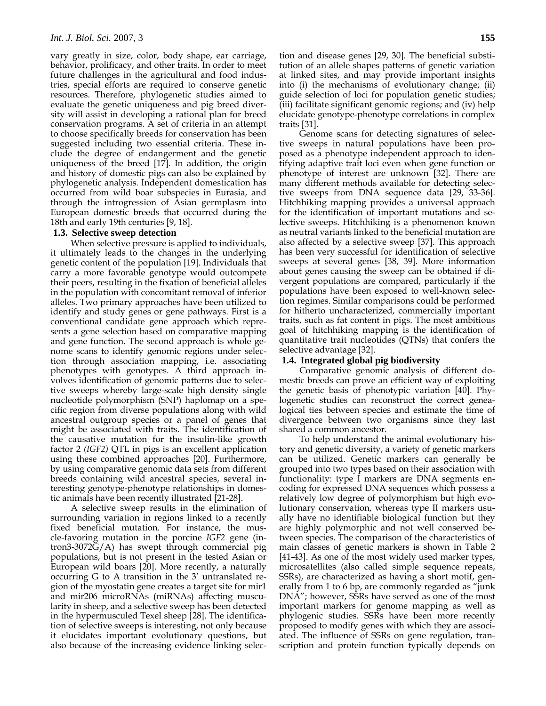vary greatly in size, color, body shape, ear carriage, behavior, prolificacy, and other traits. In order to meet future challenges in the agricultural and food industries, special efforts are required to conserve genetic resources. Therefore, phylogenetic studies aimed to evaluate the genetic uniqueness and pig breed diversity will assist in developing a rational plan for breed conservation programs. A set of criteria in an attempt to choose specifically breeds for conservation has been suggested including two essential criteria. These include the degree of endangerment and the genetic uniqueness of the breed [17]. In addition, the origin and history of domestic pigs can also be explained by phylogenetic analysis. Independent domestication has occurred from wild boar subspecies in Eurasia, and through the introgression of Asian germplasm into European domestic breeds that occurred during the 18th and early 19th centuries [9, 18].

## **1.3. Selective sweep detection**

When selective pressure is applied to individuals, it ultimately leads to the changes in the underlying genetic content of the population [19]. Individuals that carry a more favorable genotype would outcompete their peers, resulting in the fixation of beneficial alleles in the population with concomitant removal of inferior alleles. Two primary approaches have been utilized to identify and study genes or gene pathways. First is a conventional candidate gene approach which represents a gene selection based on comparative mapping and gene function. The second approach is whole genome scans to identify genomic regions under selection through association mapping, i.e. associating phenotypes with genotypes. A third approach involves identification of genomic patterns due to selective sweeps whereby large-scale high density single nucleotide polymorphism (SNP) haplomap on a specific region from diverse populations along with wild ancestral outgroup species or a panel of genes that might be associated with traits. The identification of the causative mutation for the insulin-like growth factor 2 *(IGF2)* QTL in pigs is an excellent application using these combined approaches [20]. Furthermore, by using comparative genomic data sets from different breeds containing wild ancestral species, several interesting genotype-phenotype relationships in domestic animals have been recently illustrated [21-28].

A selective sweep results in the elimination of surrounding variation in regions linked to a recently fixed beneficial mutation. For instance, the muscle-favoring mutation in the porcine *IGF2* gene (intron3-3072G/A) has swept through commercial pig populations, but is not present in the tested Asian or European wild boars [20]. More recently, a naturally occurring G to A transition in the 3' untranslated region of the myostatin gene creates a target site for mir1 and mir206 microRNAs (miRNAs) affecting muscularity in sheep, and a selective sweep has been detected in the hypermusculed Texel sheep [28]. The identification of selective sweeps is interesting, not only because it elucidates important evolutionary questions, but also because of the increasing evidence linking selection and disease genes [29, 30]. The beneficial substitution of an allele shapes patterns of genetic variation at linked sites, and may provide important insights into (i) the mechanisms of evolutionary change; (ii) guide selection of loci for population genetic studies; (iii) facilitate significant genomic regions; and (iv) help elucidate genotype-phenotype correlations in complex traits [31].

Genome scans for detecting signatures of selective sweeps in natural populations have been proposed as a phenotype independent approach to identifying adaptive trait loci even when gene function or phenotype of interest are unknown [32]. There are many different methods available for detecting selective sweeps from DNA sequence data [29, 33-36]. Hitchhiking mapping provides a universal approach for the identification of important mutations and selective sweeps. Hitchhiking is a phenomenon known as neutral variants linked to the beneficial mutation are also affected by a selective sweep [37]. This approach has been very successful for identification of selective sweeps at several genes [38, 39]. More information about genes causing the sweep can be obtained if divergent populations are compared, particularly if the populations have been exposed to well-known selection regimes. Similar comparisons could be performed for hitherto uncharacterized, commercially important traits, such as fat content in pigs. The most ambitious goal of hitchhiking mapping is the identification of quantitative trait nucleotides (QTNs) that confers the selective advantage [32].

## **1.4. Integrated global pig biodiversity**

Comparative genomic analysis of different domestic breeds can prove an efficient way of exploiting the genetic basis of phenotypic variation [40]. Phylogenetic studies can reconstruct the correct genealogical ties between species and estimate the time of divergence between two organisms since they last shared a common ancestor.

To help understand the animal evolutionary history and genetic diversity, a variety of genetic markers can be utilized. Genetic markers can generally be grouped into two types based on their association with functionality: type I markers are DNA segments encoding for expressed DNA sequences which possess a relatively low degree of polymorphism but high evolutionary conservation, whereas type II markers usually have no identifiable biological function but they are highly polymorphic and not well conserved between species. The comparison of the characteristics of main classes of genetic markers is shown in Table 2 [41-43]. As one of the most widely used marker types, microsatellites (also called simple sequence repeats, SSRs), are characterized as having a short motif, generally from 1 to 6 bp, are commonly regarded as "junk DNA"; however, SSRs have served as one of the most important markers for genome mapping as well as phylogenic studies. SSRs have been more recently proposed to modify genes with which they are associated. The influence of SSRs on gene regulation, transcription and protein function typically depends on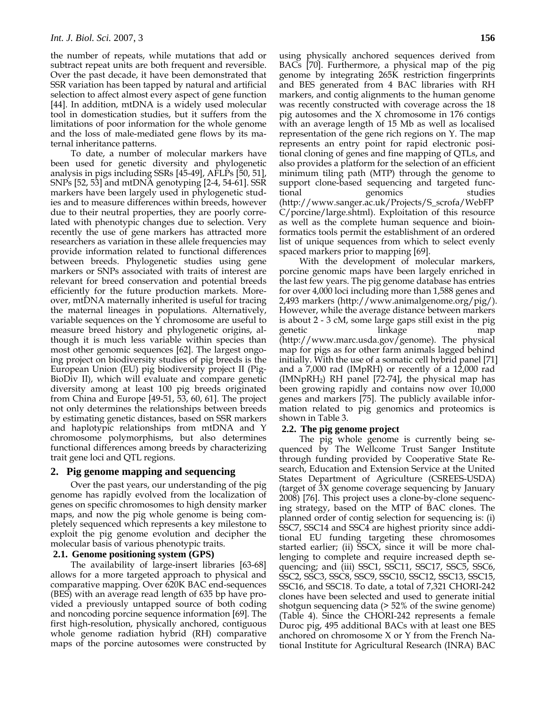the number of repeats, while mutations that add or subtract repeat units are both frequent and reversible. Over the past decade, it have been demonstrated that SSR variation has been tapped by natural and artificial selection to affect almost every aspect of gene function [44]. In addition, mtDNA is a widely used molecular tool in domestication studies, but it suffers from the limitations of poor information for the whole genome and the loss of male-mediated gene flows by its maternal inheritance patterns.

To date, a number of molecular markers have been used for genetic diversity and phylogenetic analysis in pigs including SSRs [45-49], AFLPs [50, 51], SNPs [52, 53] and mtDNA genotyping [2-4, 54-61]. SSR markers have been largely used in phylogenetic studies and to measure differences within breeds, however due to their neutral properties, they are poorly correlated with phenotypic changes due to selection. Very recently the use of gene markers has attracted more researchers as variation in these allele frequencies may provide information related to functional differences between breeds. Phylogenetic studies using gene markers or SNPs associated with traits of interest are relevant for breed conservation and potential breeds efficiently for the future production markets. Moreover, mtDNA maternally inherited is useful for tracing the maternal lineages in populations. Alternatively, variable sequences on the  $\bar{Y}$  chromosome are useful to measure breed history and phylogenetic origins, although it is much less variable within species than most other genomic sequences [62]. The largest ongoing project on biodiversity studies of pig breeds is the European Union (EU) pig biodiversity project II (Pig-BioDiv II), which will evaluate and compare genetic diversity among at least 100 pig breeds originated from China and Europe [49-51, 53, 60, 61]. The project not only determines the relationships between breeds by estimating genetic distances, based on SSR markers and haplotypic relationships from mtDNA and Y chromosome polymorphisms, but also determines functional differences among breeds by characterizing trait gene loci and QTL regions.

#### **2. Pig genome mapping and sequencing**

Over the past years, our understanding of the pig genome has rapidly evolved from the localization of genes on specific chromosomes to high density marker maps, and now the pig whole genome is being completely sequenced which represents a key milestone to exploit the pig genome evolution and decipher the molecular basis of various phenotypic traits.

#### **2.1. Genome positioning system (GPS)**

The availability of large-insert libraries [63-68] allows for a more targeted approach to physical and comparative mapping. Over 620K BAC end-sequences (BES) with an average read length of 635 bp have provided a previously untapped source of both coding and noncoding porcine sequence information [69]. The first high-resolution, physically anchored, contiguous whole genome radiation hybrid (RH) comparative maps of the porcine autosomes were constructed by using physically anchored sequences derived from BACs [70]. Furthermore, a physical map of the pig genome by integrating 265K restriction fingerprints and BES generated from 4 BAC libraries with RH markers, and contig alignments to the human genome was recently constructed with coverage across the 18 pig autosomes and the X chromosome in 176 contigs with an average length of 15 Mb as well as localised representation of the gene rich regions on Y. The map represents an entry point for rapid electronic positional cloning of genes and fine mapping of QTLs, and also provides a platform for the selection of an efficient minimum tiling path (MTP) through the genome to support clone-based sequencing and targeted functional genomics studies (http://www.sanger.ac.uk/Projects/S\_scrofa/WebFP C/porcine/large.shtml). Exploitation of this resource as well as the complete human sequence and bioinformatics tools permit the establishment of an ordered list of unique sequences from which to select evenly spaced markers prior to mapping [69].

With the development of molecular markers, porcine genomic maps have been largely enriched in the last few years. The pig genome database has entries for over 4,000 loci including more than 1,588 genes and 2,493 markers (http://www.animalgenome.org/pig/). However, while the average distance between markers is about 2 - 3 cM, some large gaps still exist in the pig genetic linkage map (http://www.marc.usda.gov/genome). The physical map for pigs as for other farm animals lagged behind initially. With the use of a somatic cell hybrid panel [71] and a 7,000 rad (IMpRH) or recently of a 12,000 rad  $(IMNpRH<sub>2</sub>)$  RH panel [72-74], the physical map has been growing rapidly and contains now over 10,000 genes and markers [75]. The publicly available information related to pig genomics and proteomics is shown in Table 3.

#### **2.2. The pig genome project**

The pig whole genome is currently being sequenced by The Wellcome Trust Sanger Institute through funding provided by Cooperative State Research, Education and Extension Service at the United States Department of Agriculture (CSREES-USDA) (target of 3X genome coverage sequencing by January 2008) [76]. This project uses a clone-by-clone sequencing strategy, based on the MTP of BAC clones. The planned order of contig selection for sequencing is: (i) SSC7, SSC14 and SSC4 are highest priority since additional EU funding targeting these chromosomes started earlier; (ii) SSCX, since it will be more challenging to complete and require increased depth sequencing; and (iii) SSC1, SSC11, SSC17, SSC5, SSC6, SSC2, SSC3, SSC8, SSC9, SSC10, SSC12, SSC13, SSC15, SSC16, and SSC18. To date, a total of 7,321 CHORI-242 clones have been selected and used to generate initial shotgun sequencing data (> 52% of the swine genome) (Table 4). Since the CHORI-242 represents a female Duroc pig, 495 additional BACs with at least one BES anchored on chromosome X or Y from the French National Institute for Agricultural Research (INRA) BAC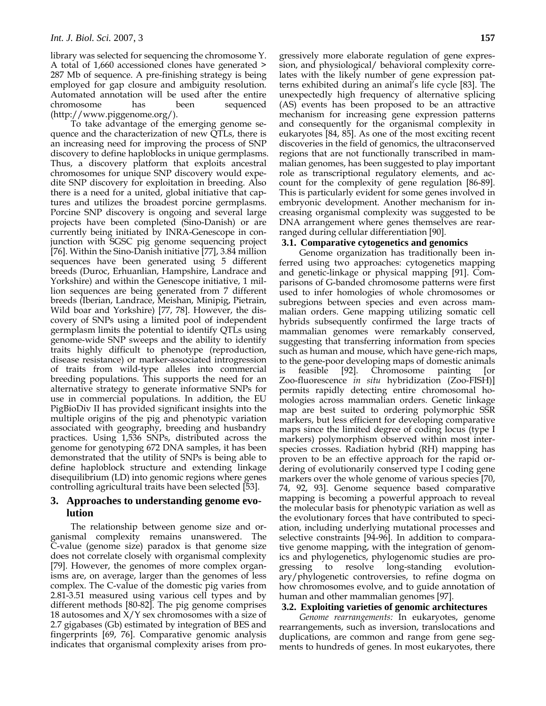library was selected for sequencing the chromosome Y. A total of 1,660 accessioned clones have generated > 287 Mb of sequence. A pre-finishing strategy is being employed for gap closure and ambiguity resolution. Automated annotation will be used after the entire chromosome has been sequenced (http://www.piggenome.org/).

To take advantage of the emerging genome sequence and the characterization of new QTLs, there is an increasing need for improving the process of SNP discovery to define haploblocks in unique germplasms. Thus, a discovery platform that exploits ancestral chromosomes for unique SNP discovery would expedite SNP discovery for exploitation in breeding. Also there is a need for a united, global initiative that captures and utilizes the broadest porcine germplasms. Porcine SNP discovery is ongoing and several large projects have been completed (Sino-Danish) or are currently being initiated by INRA-Genescope in conjunction with SGSC pig genome sequencing project [76]. Within the Sino-Danish initiative [77], 3.84 million sequences have been generated using 5 different breeds (Duroc, Erhuanlian, Hampshire, Landrace and Yorkshire) and within the Genescope initiative, 1 million sequences are being generated from 7 different breeds (Iberian, Landrace, Meishan, Minipig, Pietrain, Wild boar and Yorkshire) [77, 78]. However, the discovery of SNPs using a limited pool of independent germplasm limits the potential to identify QTLs using genome-wide SNP sweeps and the ability to identify traits highly difficult to phenotype (reproduction, disease resistance) or marker-associated introgression of traits from wild-type alleles into commercial breeding populations. This supports the need for an alternative strategy to generate informative SNPs for use in commercial populations. In addition, the EU PigBioDiv II has provided significant insights into the multiple origins of the pig and phenotypic variation associated with geography, breeding and husbandry practices. Using 1,536 SNPs, distributed across the genome for genotyping 672 DNA samples, it has been demonstrated that the utility of SNPs is being able to define haploblock structure and extending linkage disequilibrium (LD) into genomic regions where genes controlling agricultural traits have been selected [53].

# **3. Approaches to understanding genome evolution**

The relationship between genome size and organismal complexity remains unanswered. The C-value (genome size) paradox is that genome size does not correlate closely with organismal complexity [79]. However, the genomes of more complex organisms are, on average, larger than the genomes of less complex. The C-value of the domestic pig varies from 2.81-3.51 measured using various cell types and by different methods [80-82]. The pig genome comprises 18 autosomes and  $X/Y$  sex chromosomes with a size of 2.7 gigabases (Gb) estimated by integration of BES and fingerprints [69, 76]. Comparative genomic analysis indicates that organismal complexity arises from progressively more elaborate regulation of gene expression, and physiological/ behavioral complexity correlates with the likely number of gene expression patterns exhibited during an animal's life cycle [83]. The unexpectedly high frequency of alternative splicing (AS) events has been proposed to be an attractive mechanism for increasing gene expression patterns and consequently for the organismal complexity in eukaryotes [84, 85]. As one of the most exciting recent discoveries in the field of genomics, the ultraconserved regions that are not functionally transcribed in mammalian genomes, has been suggested to play important role as transcriptional regulatory elements, and account for the complexity of gene regulation [86-89]. This is particularly evident for some genes involved in embryonic development. Another mechanism for increasing organismal complexity was suggested to be DNA arrangement where genes themselves are rearranged during cellular differentiation [90].

## **3.1. Comparative cytogenetics and genomics**

Genome organization has traditionally been inferred using two approaches: cytogenetics mapping and genetic-linkage or physical mapping [91]. Comparisons of G-banded chromosome patterns were first used to infer homologies of whole chromosomes or subregions between species and even across mammalian orders. Gene mapping utilizing somatic cell hybrids subsequently confirmed the large tracts of mammalian genomes were remarkably conserved, suggesting that transferring information from species such as human and mouse, which have gene-rich maps, to the gene-poor developing maps of domestic animals is feasible [92]. Chromosome painting [or Zoo-fluorescence *in situ* hybridization (Zoo-FISH)] permits rapidly detecting entire chromosomal homologies across mammalian orders. Genetic linkage map are best suited to ordering polymorphic SSR markers, but less efficient for developing comparative maps since the limited degree of coding locus (type I markers) polymorphism observed within most interspecies crosses. Radiation hybrid (RH) mapping has proven to be an effective approach for the rapid ordering of evolutionarily conserved type I coding gene markers over the whole genome of various species [70, 74, 92, 93]. Genome sequence based comparative mapping is becoming a powerful approach to reveal the molecular basis for phenotypic variation as well as the evolutionary forces that have contributed to speciation, including underlying mutational processes and selective constraints [94-96]. In addition to comparative genome mapping, with the integration of genomics and phylogenetics, phylogenomic studies are progressing to resolve long-standing evolutionary/phylogenetic controversies, to refine dogma on how chromosomes evolve, and to guide annotation of human and other mammalian genomes [97].

## **3.2. Exploiting varieties of genomic architectures**

*Genome rearrangements:* In eukaryotes, genome rearrangements, such as inversion, translocations and duplications, are common and range from gene segments to hundreds of genes. In most eukaryotes, there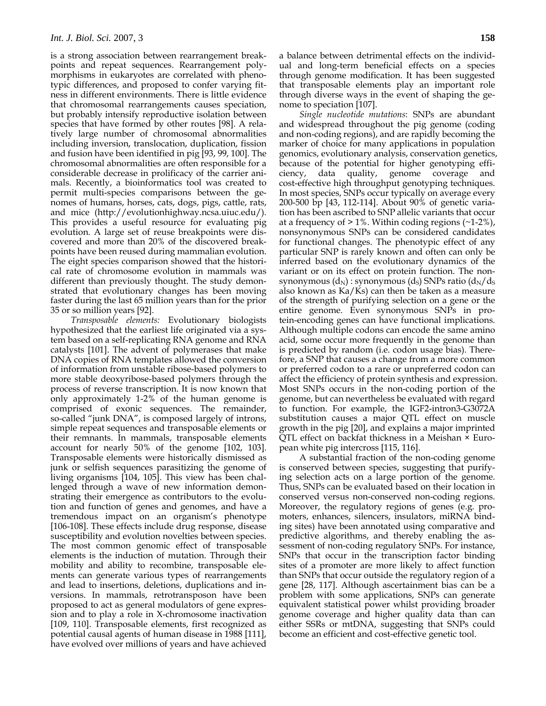is a strong association between rearrangement breakpoints and repeat sequences. Rearrangement polymorphisms in eukaryotes are correlated with phenotypic differences, and proposed to confer varying fitness in different environments. There is little evidence that chromosomal rearrangements causes speciation, but probably intensify reproductive isolation between species that have formed by other routes [98]. A relatively large number of chromosomal abnormalities including inversion, translocation, duplication, fission and fusion have been identified in pig [93, 99, 100]. The chromosomal abnormalities are often responsible for a considerable decrease in prolificacy of the carrier animals. Recently, a bioinformatics tool was created to permit multi-species comparisons between the genomes of humans, horses, cats, dogs, pigs, cattle, rats, and mice (http://evolutionhighway.ncsa.uiuc.edu/). This provides a useful resource for evaluating pig evolution. A large set of reuse breakpoints were discovered and more than 20% of the discovered breakpoints have been reused during mammalian evolution. The eight species comparison showed that the historical rate of chromosome evolution in mammals was different than previously thought. The study demonstrated that evolutionary changes has been moving faster during the last 65 million years than for the prior 35 or so million years [92].

*Transposable elements:* Evolutionary biologists hypothesized that the earliest life originated via a system based on a self-replicating RNA genome and RNA catalysts [101]. The advent of polymerases that make DNA copies of RNA templates allowed the conversion of information from unstable ribose-based polymers to more stable deoxyribose-based polymers through the process of reverse transcription. It is now known that only approximately 1-2% of the human genome is comprised of exonic sequences. The remainder, so-called "junk DNA", is composed largely of introns, simple repeat sequences and transposable elements or their remnants. In mammals, transposable elements account for nearly 50% of the genome [102, 103]. Transposable elements were historically dismissed as junk or selfish sequences parasitizing the genome of living organisms [104, 105]. This view has been challenged through a wave of new information demonstrating their emergence as contributors to the evolution and function of genes and genomes, and have a tremendous impact on an organism's phenotype [106-108]. These effects include drug response, disease susceptibility and evolution novelties between species. The most common genomic effect of transposable elements is the induction of mutation. Through their mobility and ability to recombine, transposable elements can generate various types of rearrangements and lead to insertions, deletions, duplications and inversions. In mammals, retrotransposon have been proposed to act as general modulators of gene expression and to play a role in X-chromosome inactivation [109, 110]. Transposable elements, first recognized as potential causal agents of human disease in 1988 [111], have evolved over millions of years and have achieved

a balance between detrimental effects on the individual and long-term beneficial effects on a species through genome modification. It has been suggested that transposable elements play an important role through diverse ways in the event of shaping the genome to speciation [107].

*Single nucleotide mutations*: SNPs are abundant and widespread throughout the pig genome (coding and non-coding regions), and are rapidly becoming the marker of choice for many applications in population genomics, evolutionary analysis, conservation genetics, because of the potential for higher genotyping efficiency, data quality, genome coverage and cost-effective high throughput genotyping techniques. In most species, SNPs occur typically on average every 200-500 bp [43, 112-114]. About 90% of genetic variation has been ascribed to SNP allelic variants that occur at a frequency of  $> 1\%$ . Within coding regions ( $\sim$ 1-2%), nonsynonymous SNPs can be considered candidates for functional changes. The phenotypic effect of any particular SNP is rarely known and often can only be inferred based on the evolutionary dynamics of the variant or on its effect on protein function. The nonsynonymous  $(d_N)$ : synonymous  $(d_S)$  SNPs ratio  $(d_N/d_S)$ also known as Ka/Ks) can then be taken as a measure of the strength of purifying selection on a gene or the entire genome. Even synonymous SNPs in protein-encoding genes can have functional implications. Although multiple codons can encode the same amino acid, some occur more frequently in the genome than is predicted by random (i.e. codon usage bias). Therefore, a SNP that causes a change from a more common or preferred codon to a rare or unpreferred codon can affect the efficiency of protein synthesis and expression. Most SNPs occurs in the non-coding portion of the genome, but can nevertheless be evaluated with regard to function. For example, the IGF2-intron3-G3072A substitution causes a major QTL effect on muscle growth in the pig [20], and explains a major imprinted QTL effect on backfat thickness in a Meishan × European white pig intercross [115, 116].

A substantial fraction of the non-coding genome is conserved between species, suggesting that purifying selection acts on a large portion of the genome. Thus, SNPs can be evaluated based on their location in conserved versus non-conserved non-coding regions. Moreover, the regulatory regions of genes (e.g. promoters, enhances, silencers, insulators, miRNA binding sites) have been annotated using comparative and predictive algorithms, and thereby enabling the assessment of non-coding regulatory SNPs. For instance, SNPs that occur in the transcription factor binding sites of a promoter are more likely to affect function than SNPs that occur outside the regulatory region of a gene [28, 117]. Although ascertainment bias can be a problem with some applications, SNPs can generate equivalent statistical power whilst providing broader genome coverage and higher quality data than can either SSRs or mtDNA, suggesting that SNPs could become an efficient and cost-effective genetic tool.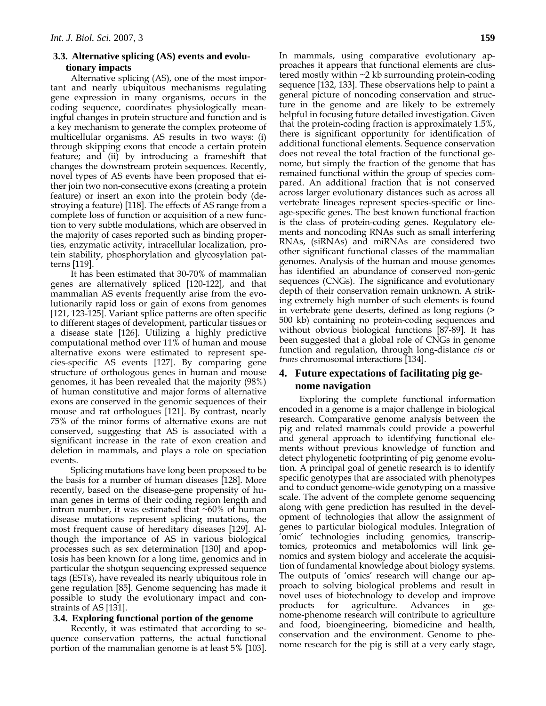# **3.3. Alternative splicing (AS) events and evolutionary impacts**

Alternative splicing (AS), one of the most important and nearly ubiquitous mechanisms regulating gene expression in many organisms, occurs in the coding sequence, coordinates physiologically meaningful changes in protein structure and function and is a key mechanism to generate the complex proteome of multicellular organisms. AS results in two ways: (i) through skipping exons that encode a certain protein feature; and (ii) by introducing a frameshift that changes the downstream protein sequences. Recently, novel types of AS events have been proposed that either join two non-consecutive exons (creating a protein feature) or insert an exon into the protein body (destroying a feature) [118]. The effects of AS range from a complete loss of function or acquisition of a new function to very subtle modulations, which are observed in the majority of cases reported such as binding properties, enzymatic activity, intracellular localization, protein stability, phosphorylation and glycosylation patterns [119].

It has been estimated that 30-70% of mammalian genes are alternatively spliced [120-122], and that mammalian AS events frequently arise from the evolutionarily rapid loss or gain of exons from genomes [121, 123-125]. Variant splice patterns are often specific to different stages of development, particular tissues or a disease state [126]. Utilizing a highly predictive computational method over 11% of human and mouse alternative exons were estimated to represent species-specific AS events [127]. By comparing gene structure of orthologous genes in human and mouse genomes, it has been revealed that the majority (98%) of human constitutive and major forms of alternative exons are conserved in the genomic sequences of their mouse and rat orthologues [121]. By contrast, nearly 75% of the minor forms of alternative exons are not conserved, suggesting that AS is associated with a significant increase in the rate of exon creation and deletion in mammals, and plays a role on speciation events

Splicing mutations have long been proposed to be the basis for a number of human diseases [128]. More recently, based on the disease-gene propensity of human genes in terms of their coding region length and intron number, it was estimated that  $~60\%$  of human disease mutations represent splicing mutations, the most frequent cause of hereditary diseases [129]. Although the importance of AS in various biological processes such as sex determination [130] and apoptosis has been known for a long time, genomics and in particular the shotgun sequencing expressed sequence tags (ESTs), have revealed its nearly ubiquitous role in gene regulation [85]. Genome sequencing has made it possible to study the evolutionary impact and constraints of AS [131].

#### **3.4. Exploring functional portion of the genome**

Recently, it was estimated that according to sequence conservation patterns, the actual functional portion of the mammalian genome is at least 5% [103].

In mammals, using comparative evolutionary approaches it appears that functional elements are clustered mostly within ~2 kb surrounding protein-coding sequence [132, 133]. These observations help to paint a general picture of noncoding conservation and structure in the genome and are likely to be extremely helpful in focusing future detailed investigation. Given that the protein-coding fraction is approximately 1.5%, there is significant opportunity for identification of additional functional elements. Sequence conservation does not reveal the total fraction of the functional genome, but simply the fraction of the genome that has remained functional within the group of species compared. An additional fraction that is not conserved across larger evolutionary distances such as across all vertebrate lineages represent species-specific or lineage-specific genes. The best known functional fraction is the class of protein-coding genes. Regulatory elements and noncoding RNAs such as small interfering RNAs, (siRNAs) and miRNAs are considered two other significant functional classes of the mammalian genomes. Analysis of the human and mouse genomes has identified an abundance of conserved non-genic sequences (CNGs). The significance and evolutionary depth of their conservation remain unknown. A striking extremely high number of such elements is found in vertebrate gene deserts, defined as long regions (> 500 kb) containing no protein-coding sequences and without obvious biological functions [87-89]. It has been suggested that a global role of CNGs in genome function and regulation, through long-distance *cis* or *trans* chromosomal interactions [134].

# **4. Future expectations of facilitating pig genome navigation**

Exploring the complete functional information encoded in a genome is a major challenge in biological research. Comparative genome analysis between the pig and related mammals could provide a powerful and general approach to identifying functional elements without previous knowledge of function and detect phylogenetic footprinting of pig genome evolution. A principal goal of genetic research is to identify specific genotypes that are associated with phenotypes and to conduct genome-wide genotyping on a massive scale. The advent of the complete genome sequencing along with gene prediction has resulted in the development of technologies that allow the assignment of genes to particular biological modules. Integration of 'omic' technologies including genomics, transcriptomics, proteomics and metabolomics will link genomics and system biology and accelerate the acquisition of fundamental knowledge about biology systems. The outputs of 'omics' research will change our approach to solving biological problems and result in novel uses of biotechnology to develop and improve products for agriculture. Advances in genome-phenome research will contribute to agriculture and food, bioengineering, biomedicine and health, conservation and the environment. Genome to phenome research for the pig is still at a very early stage,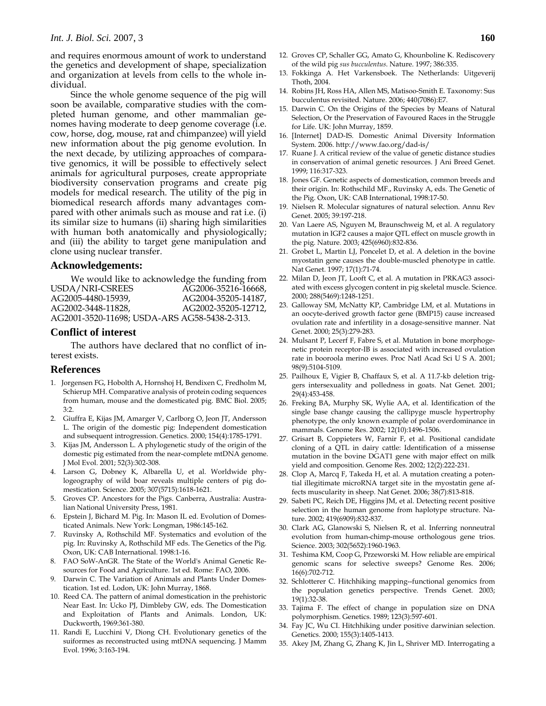and requires enormous amount of work to understand the genetics and development of shape, specialization and organization at levels from cells to the whole individual.

Since the whole genome sequence of the pig will soon be available, comparative studies with the completed human genome, and other mammalian genomes having moderate to deep genome coverage (i.e. cow, horse, dog, mouse, rat and chimpanzee) will yield new information about the pig genome evolution. In the next decade, by utilizing approaches of comparative genomics, it will be possible to effectively select animals for agricultural purposes, create appropriate biodiversity conservation programs and create pig models for medical research. The utility of the pig in biomedical research affords many advantages compared with other animals such as mouse and rat i.e. (i) its similar size to humans (ii) sharing high similarities with human both anatomically and physiologically; and (iii) the ability to target gene manipulation and clone using nuclear transfer.

#### **Acknowledgements:**

We would like to acknowledge the funding from USDA/NRI-CSREES AG2006-35216-16668, AG2005-4480-15939, AG2004-35205-14187, AG2002-3448-11828, AG2002-35205-12712, AG2001-3520-11698; USDA-ARS AG58-5438-2-313.

# **Conflict of interest**

The authors have declared that no conflict of interest exists.

## **References**

- 1. Jorgensen FG, Hobolth A, Hornshoj H, Bendixen C, Fredholm M, Schierup MH. Comparative analysis of protein coding sequences from human, mouse and the domesticated pig. BMC Biol. 2005; 3:2.
- 2. Giuffra E, Kijas JM, Amarger V, Carlborg O, Jeon JT, Andersson L. The origin of the domestic pig: Independent domestication and subsequent introgression. Genetics. 2000; 154(4):1785-1791.
- 3. Kijas JM, Andersson L. A phylogenetic study of the origin of the domestic pig estimated from the near-complete mtDNA genome. J Mol Evol. 2001; 52(3):302-308.
- 4. Larson G, Dobney K, Albarella U, et al. Worldwide phylogeography of wild boar reveals multiple centers of pig domestication. Science. 2005; 307(5715):1618-1621.
- 5. Groves CP. Ancestors for the Pigs. Canberra, Australia: Australian National University Press, 1981.
- 6. Epstein J, Bichard M. Pig. In: Mason IL ed. Evolution of Domesticated Animals. New York: Longman, 1986:145-162.
- 7. Ruvinsky A, Rothschild MF. Systematics and evolution of the pig. In: Ruvinsky A, Rothschild MF eds. The Genetics of the Pig. Oxon, UK: CAB International. 1998:1-16.
- 8. FAO SoW-AnGR. The State of the World's Animal Genetic Resources for Food and Agriculture. 1st ed. Rome: FAO, 2006.
- Darwin C. The Variation of Animals and Plants Under Domestication. 1st ed. Lodon, UK: John Murray, 1868.
- 10. Reed CA. The pattern of animal domestication in the prehistoric Near East. In: Ucko PJ, Dimbleby GW, eds. The Domestication and Exploitation of Plants and Animals. London, UK: Duckworth, 1969:361-380.
- 11. Randi E, Lucchini V, Diong CH. Evolutionary genetics of the suiformes as reconstructed using mtDNA sequencing. J Mamm Evol. 1996; 3:163-194.
- 12. Groves CP, Schaller GG, Amato G, Khounboline K. Rediscovery of the wild pig *sus bucculentus*. Nature. 1997; 386:335.
- 13. Fokkinga A. Het Varkensboek. The Netherlands: Uitgeverij Thoth, 2004.
- 14. Robins JH, Ross HA, Allen MS, Matisoo-Smith E. Taxonomy: Sus bucculentus revisited. Nature. 2006; 440(7086):E7.
- 15. Darwin C. On the Origins of the Species by Means of Natural Selection, Or the Preservation of Favoured Races in the Struggle for Life. UK: John Murray, 1859.
- 16. [Internet] DAD-IS. Domestic Animal Diversity Information System. 2006. http://www.fao.org/dad-is/
- 17. Ruane J. A critical review of the value of genetic distance studies in conservation of animal genetic resources. J Ani Breed Genet. 1999; 116:317-323.
- 18. Jones GF. Genetic aspects of domestication, common breeds and their origin. In: Rothschild MF., Ruvinsky A, eds. The Genetic of the Pig. Oxon, UK: CAB International, 1998:17-50.
- 19. Nielsen R. Molecular signatures of natural selection. Annu Rev Genet. 2005; 39:197-218.
- 20. Van Laere AS, Nguyen M, Braunschweig M, et al. A regulatory mutation in IGF2 causes a major QTL effect on muscle growth in the pig. Nature. 2003; 425(6960):832-836.
- 21. Grobet L, Martin LJ, Poncelet D, et al. A deletion in the bovine myostatin gene causes the double-muscled phenotype in cattle. Nat Genet. 1997; 17(1):71-74.
- 22. Milan D, Jeon JT, Looft C, et al. A mutation in PRKAG3 associated with excess glycogen content in pig skeletal muscle. Science. 2000; 288(5469):1248-1251.
- 23. Galloway SM, McNatty KP, Cambridge LM, et al. Mutations in an oocyte-derived growth factor gene (BMP15) cause increased ovulation rate and infertility in a dosage-sensitive manner. Nat Genet. 2000; 25(3):279-283.
- 24. Mulsant P, Lecerf F, Fabre S, et al. Mutation in bone morphogenetic protein receptor-IB is associated with increased ovulation rate in booroola merino ewes. Proc Natl Acad Sci U S A. 2001; 98(9):5104-5109.
- 25. Pailhoux E, Vigier B, Chaffaux S, et al. A 11.7-kb deletion triggers intersexuality and polledness in goats. Nat Genet. 2001; 29(4):453-458.
- 26. Freking BA, Murphy SK, Wylie AA, et al. Identification of the single base change causing the callipyge muscle hypertrophy phenotype, the only known example of polar overdominance in mammals. Genome Res. 2002; 12(10):1496-1506.
- 27. Grisart B, Coppieters W, Farnir F, et al. Positional candidate cloning of a QTL in dairy cattle: Identification of a missense mutation in the bovine DGAT1 gene with major effect on milk yield and composition. Genome Res. 2002; 12(2):222-231.
- 28. Clop A, Marcq F, Takeda H, et al. A mutation creating a potential illegitimate microRNA target site in the myostatin gene affects muscularity in sheep. Nat Genet. 2006; 38(7):813-818.
- 29. Sabeti PC, Reich DE, Higgins JM, et al. Detecting recent positive selection in the human genome from haplotype structure. Nature. 2002; 419(6909):832-837.
- 30. Clark AG, Glanowski S, Nielsen R, et al. Inferring nonneutral evolution from human-chimp-mouse orthologous gene trios. Science. 2003; 302(5652):1960-1963.
- 31. Teshima KM, Coop G, Przeworski M. How reliable are empirical genomic scans for selective sweeps? Genome Res. 2006; 16(6):702-712.
- 32. Schlotterer C. Hitchhiking mapping--functional genomics from the population genetics perspective. Trends Genet. 2003; 19(1):32-38.
- 33. Tajima F. The effect of change in population size on DNA polymorphism. Genetics. 1989; 123(3):597-601.
- 34. Fay JC, Wu CI. Hitchhiking under positive darwinian selection. Genetics. 2000; 155(3):1405-1413.
- 35. Akey JM, Zhang G, Zhang K, Jin L, Shriver MD. Interrogating a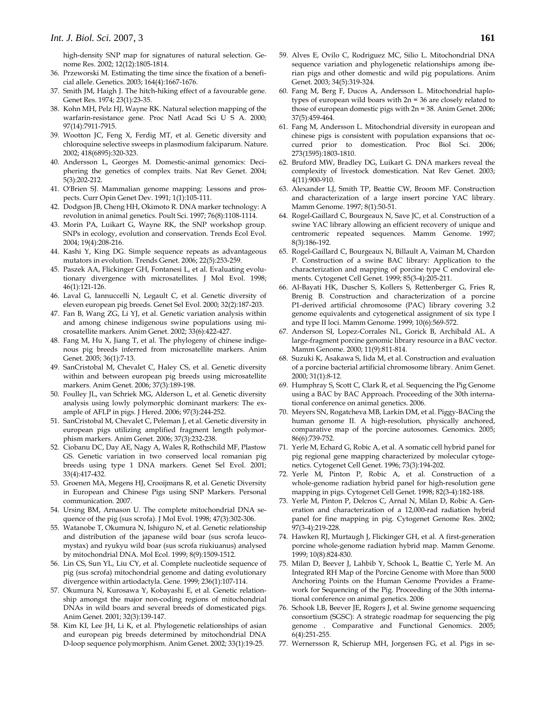high-density SNP map for signatures of natural selection. Genome Res. 2002; 12(12):1805-1814.

- 36. Przeworski M. Estimating the time since the fixation of a beneficial allele. Genetics. 2003; 164(4):1667-1676.
- 37. Smith JM, Haigh J. The hitch-hiking effect of a favourable gene. Genet Res. 1974; 23(1):23-35.
- 38. Kohn MH, Pelz HJ, Wayne RK. Natural selection mapping of the warfarin-resistance gene. Proc Natl Acad Sci U S A. 2000; 97(14):7911-7915.
- 39. Wootton JC, Feng X, Ferdig MT, et al. Genetic diversity and chloroquine selective sweeps in plasmodium falciparum. Nature. 2002; 418(6895):320-323.
- 40. Andersson L, Georges M. Domestic-animal genomics: Deciphering the genetics of complex traits. Nat Rev Genet. 2004; 5(3):202-212.
- 41. O'Brien SJ. Mammalian genome mapping: Lessons and prospects. Curr Opin Genet Dev. 1991; 1(1):105-111.
- 42. Dodgson JB, Cheng HH, Okimoto R. DNA marker technology: A revolution in animal genetics. Poult Sci. 1997; 76(8):1108-1114.
- 43. Morin PA, Luikart G, Wayne RK, the SNP workshop group. SNPs in ecology, evolution and conservation. Trends Ecol Evol. 2004; 19(4):208-216.
- 44. Kashi Y, King DG. Simple sequence repeats as advantageous mutators in evolution. Trends Genet. 2006; 22(5):253-259.
- 45. Paszek AA, Flickinger GH, Fontanesi L, et al. Evaluating evolutionary divergence with microsatellites. J Mol Evol. 1998; 46(1):121-126.
- 46. Laval G, Iannuccelli N, Legault C, et al. Genetic diversity of eleven european pig breeds. Genet Sel Evol. 2000; 32(2):187-203.
- 47. Fan B, Wang ZG, Li YJ, et al. Genetic variation analysis within and among chinese indigenous swine populations using microsatellite markers. Anim Genet. 2002; 33(6):422-427.
- 48. Fang M, Hu X, Jiang T, et al. The phylogeny of chinese indigenous pig breeds inferred from microsatellite markers. Anim Genet. 2005; 36(1):7-13.
- 49. SanCristobal M, Chevalet C, Haley CS, et al. Genetic diversity within and between european pig breeds using microsatellite markers. Anim Genet. 2006; 37(3):189-198.
- 50. Foulley JL, van Schriek MG, Alderson L, et al. Genetic diversity analysis using lowly polymorphic dominant markers: The example of AFLP in pigs. J Hered. 2006; 97(3):244-252.
- 51. SanCristobal M, Chevalet C, Peleman J, et al. Genetic diversity in european pigs utilizing amplified fragment length polymorphism markers. Anim Genet. 2006; 37(3):232-238.
- 52. Ciobanu DC, Day AE, Nagy A, Wales R, Rothschild MF, Plastow GS. Genetic variation in two conserved local romanian pig breeds using type 1 DNA markers. Genet Sel Evol. 2001; 33(4):417-432.
- 53. Groenen MA, Megens HJ, Crooijmans R, et al. Genetic Diversity in European and Chinese Pigs using SNP Markers. Personal communication. 2007.
- 54. Ursing BM, Arnason U. The complete mitochondrial DNA sequence of the pig (sus scrofa). J Mol Evol. 1998; 47(3):302-306.
- 55. Watanobe T, Okumura N, Ishiguro N, et al. Genetic relationship and distribution of the japanese wild boar (sus scrofa leucomystax) and ryukyu wild boar (sus scrofa riukiuanus) analysed by mitochondrial DNA. Mol Ecol. 1999; 8(9):1509-1512.
- 56. Lin CS, Sun YL, Liu CY, et al. Complete nucleotide sequence of pig (sus scrofa) mitochondrial genome and dating evolutionary divergence within artiodactyla. Gene. 1999; 236(1):107-114.
- 57. Okumura N, Kurosawa Y, Kobayashi E, et al. Genetic relationship amongst the major non-coding regions of mitochondrial DNAs in wild boars and several breeds of domesticated pigs. Anim Genet. 2001; 32(3):139-147.
- 58. Kim KI, Lee JH, Li K, et al. Phylogenetic relationships of asian and european pig breeds determined by mitochondrial DNA D-loop sequence polymorphism. Anim Genet. 2002; 33(1):19-25.
- 59. Alves E, Ovilo C, Rodriguez MC, Silio L. Mitochondrial DNA sequence variation and phylogenetic relationships among iberian pigs and other domestic and wild pig populations. Anim Genet. 2003; 34(5):319-324.
- 60. Fang M, Berg F, Ducos A, Andersson L. Mitochondrial haplotypes of european wild boars with 2n = 36 are closely related to those of european domestic pigs with 2n = 38. Anim Genet. 2006; 37(5):459-464.
- 61. Fang M, Andersson L. Mitochondrial diversity in european and chinese pigs is consistent with population expansions that occurred prior to domestication. Proc Biol Sci. 2006; 273(1595):1803-1810.
- 62. Bruford MW, Bradley DG, Luikart G. DNA markers reveal the complexity of livestock domestication. Nat Rev Genet. 2003; 4(11):900-910.
- 63. Alexander LJ, Smith TP, Beattie CW, Broom MF. Construction and characterization of a large insert porcine YAC library. Mamm Genome. 1997; 8(1):50-51.
- 64. Rogel-Gaillard C, Bourgeaux N, Save JC, et al. Construction of a swine YAC library allowing an efficient recovery of unique and centromeric repeated sequences. Mamm Genome. 1997; 8(3):186-192.
- 65. Rogel-Gaillard C, Bourgeaux N, Billault A, Vaiman M, Chardon P. Construction of a swine BAC library: Application to the characterization and mapping of porcine type C endoviral elements. Cytogenet Cell Genet. 1999; 85(3-4):205-211.
- 66. Al-Bayati HK, Duscher S, Kollers S, Rettenberger G, Fries R, Brenig B. Construction and characterization of a porcine P1-derived artificial chromosome (PAC) library covering 3.2 genome equivalents and cytogenetical assignment of six type I and type II loci. Mamm Genome. 1999; 10(6):569-572.
- 67. Anderson SI, Lopez-Corrales NL, Gorick B, Archibald AL. A large-fragment porcine genomic library resource in a BAC vector. Mamm Genome. 2000; 11(9):811-814.
- 68. Suzuki K, Asakawa S, Iida M, et al. Construction and evaluation of a porcine bacterial artificial chromosome library. Anim Genet. 2000; 31(1):8-12.
- 69. Humphray S, Scott C, Clark R, et al. Sequencing the Pig Genome using a BAC by BAC Approach. Proceeding of the 30th international conference on animal genetics. 2006.
- 70. Meyers SN, Rogatcheva MB, Larkin DM, et al. Piggy-BACing the human genome II. A high-resolution, physically anchored, comparative map of the porcine autosomes. Genomics. 2005; 86(6):739-752.
- 71. Yerle M, Echard G, Robic A, et al. A somatic cell hybrid panel for pig regional gene mapping characterized by molecular cytogenetics. Cytogenet Cell Genet. 1996; 73(3):194-202.
- 72. Yerle M, Pinton P, Robic A, et al. Construction of a whole-genome radiation hybrid panel for high-resolution gene mapping in pigs. Cytogenet Cell Genet. 1998; 82(3-4):182-188.
- 73. Yerle M, Pinton P, Delcros C, Arnal N, Milan D, Robic A. Generation and characterization of a 12,000-rad radiation hybrid panel for fine mapping in pig. Cytogenet Genome Res. 2002; 97(3-4):219-228.
- 74. Hawken RJ, Murtaugh J, Flickinger GH, et al. A first-generation porcine whole-genome radiation hybrid map. Mamm Genome. 1999; 10(8):824-830.
- 75. Milan D, Beever J, Lahbib Y, Schook L, Beattie C, Yerle M. An Integrated RH Map of the Porcine Genome with More than 5000 Anchoring Points on the Human Genome Provides a Framework for Sequencing of the Pig. Proceeding of the 30th international conference on animal genetics. 2006
- 76. Schook LB, Beever JE, Rogers J, et al. Swine genome sequencing consortium (SGSC): A strategic roadmap for sequencing the pig genome . Comparative and Functional Genomics. 2005; 6(4):251-255.
- 77. Wernersson R, Schierup MH, Jorgensen FG, et al. Pigs in se-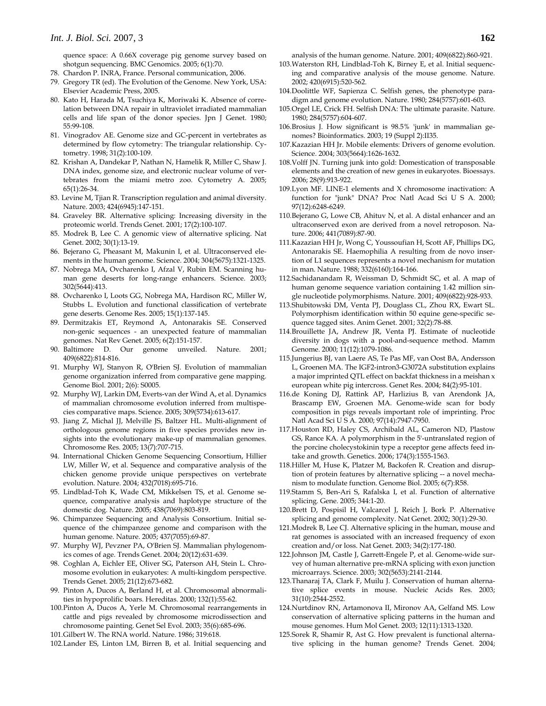quence space: A 0.66X coverage pig genome survey based on shotgun sequencing. BMC Genomics. 2005; 6(1):70.

- 78. Chardon P. INRA, France. Personal communication, 2006.
- 79. Gregory TR (ed). The Evolution of the Genome. New York, USA: Elsevier Academic Press, 2005.
- 80. Kato H, Harada M, Tsuchiya K, Moriwaki K. Absence of correlation between DNA repair in ultraviolet irradiated mammalian cells and life span of the donor species. Jpn J Genet. 1980; 55:99-108.
- 81. Vinogradov AE. Genome size and GC-percent in vertebrates as determined by flow cytometry: The triangular relationship. Cytometry. 1998; 31(2):100-109.
- 82. Krishan A, Dandekar P, Nathan N, Hamelik R, Miller C, Shaw J. DNA index, genome size, and electronic nuclear volume of vertebrates from the miami metro zoo. Cytometry A. 2005; 65(1):26-34.
- 83. Levine M, Tjian R. Transcription regulation and animal diversity. Nature. 2003; 424(6945):147-151.
- 84. Graveley BR. Alternative splicing: Increasing diversity in the proteomic world. Trends Genet. 2001; 17(2):100-107.
- 85. Modrek B, Lee C. A genomic view of alternative splicing. Nat Genet. 2002; 30(1):13-19.
- 86. Bejerano G, Pheasant M, Makunin I, et al. Ultraconserved elements in the human genome. Science. 2004; 304(5675):1321-1325.
- 87. Nobrega MA, Ovcharenko I, Afzal V, Rubin EM. Scanning human gene deserts for long-range enhancers. Science. 2003; 302(5644):413.
- 88. Ovcharenko I, Loots GG, Nobrega MA, Hardison RC, Miller W, Stubbs L. Evolution and functional classification of vertebrate gene deserts. Genome Res. 2005; 15(1):137-145.
- 89. Dermitzakis ET, Reymond A, Antonarakis SE. Conserved non-genic sequences - an unexpected feature of mammalian genomes. Nat Rev Genet. 2005; 6(2):151-157.
- 90. Baltimore D. Our genome unveiled. Nature. 2001; 409(6822):814-816.
- 91. Murphy WJ, Stanyon R, O'Brien SJ. Evolution of mammalian genome organization inferred from comparative gene mapping. Genome Biol. 2001; 2(6): S0005.
- 92. Murphy WJ, Larkin DM, Everts-van der Wind A, et al. Dynamics of mammalian chromosome evolution inferred from multispecies comparative maps. Science. 2005; 309(5734):613-617.
- 93. Jiang Z, Michal JJ, Melville JS, Baltzer HL. Multi-alignment of orthologous genome regions in five species provides new insights into the evolutionary make-up of mammalian genomes. Chromosome Res. 2005; 13(7):707-715.
- 94. International Chicken Genome Sequencing Consortium, Hillier LW, Miller W, et al. Sequence and comparative analysis of the chicken genome provide unique perspectives on vertebrate evolution. Nature. 2004; 432(7018):695-716.
- 95. Lindblad-Toh K, Wade CM, Mikkelsen TS, et al. Genome sequence, comparative analysis and haplotype structure of the domestic dog. Nature. 2005; 438(7069):803-819.
- 96. Chimpanzee Sequencing and Analysis Consortium. Initial sequence of the chimpanzee genome and comparison with the human genome. Nature. 2005; 437(7055):69-87.
- 97. Murphy WJ, Pevzner PA, O'Brien SJ. Mammalian phylogenomics comes of age. Trends Genet. 2004; 20(12):631-639.
- 98. Coghlan A, Eichler EE, Oliver SG, Paterson AH, Stein L. Chromosome evolution in eukaryotes: A multi-kingdom perspective. Trends Genet. 2005; 21(12):673-682.
- 99. Pinton A, Ducos A, Berland H, et al. Chromosomal abnormalities in hypoprolific boars. Hereditas. 2000; 132(1):55-62.
- 100. Pinton A, Ducos A, Yerle M. Chromosomal rearrangements in cattle and pigs revealed by chromosome microdissection and chromosome painting. Genet Sel Evol. 2003; 35(6):685-696.
- 101. Gilbert W. The RNA world. Nature. 1986; 319:618.
- 102. Lander ES, Linton LM, Birren B, et al. Initial sequencing and

analysis of the human genome. Nature. 2001; 409(6822):860-921.

- 103. Waterston RH, Lindblad-Toh K, Birney E, et al. Initial sequencing and comparative analysis of the mouse genome. Nature. 2002; 420(6915):520-562.
- 104. Doolittle WF, Sapienza C. Selfish genes, the phenotype paradigm and genome evolution. Nature. 1980; 284(5757):601-603.
- 105. Orgel LE, Crick FH. Selfish DNA: The ultimate parasite. Nature. 1980; 284(5757):604-607.
- 106. Brosius J. How significant is 98.5% 'junk' in mammalian genomes? Bioinformatics. 2003; 19 (Suppl 2):II35.
- 107. Kazazian HH Jr. Mobile elements: Drivers of genome evolution. Science. 2004; 303(5664):1626-1632.
- 108. Volff JN. Turning junk into gold: Domestication of transposable elements and the creation of new genes in eukaryotes. Bioessays. 2006; 28(9):913-922.
- 109. Lyon MF. LINE-1 elements and X chromosome inactivation: A function for "junk" DNA? Proc Natl Acad Sci U S A. 2000; 97(12):6248-6249.
- 110. Bejerano G, Lowe CB, Ahituv N, et al. A distal enhancer and an ultraconserved exon are derived from a novel retroposon. Nature. 2006; 441(7089):87-90.
- 111. Kazazian HH Jr, Wong C, Youssoufian H, Scott AF, Phillips DG, Antonarakis SE. Haemophilia A resulting from de novo insertion of L1 sequences represents a novel mechanism for mutation in man. Nature. 1988; 332(6160):164-166.
- 112. Sachidanandam R, Weissman D, Schmidt SC, et al. A map of human genome sequence variation containing 1.42 million single nucleotide polymorphisms. Nature. 2001; 409(6822):928-933.
- 113. Shubitowski DM, Venta PJ, Douglass CL, Zhou RX, Ewart SL. Polymorphism identification within 50 equine gene-specific sequence tagged sites. Anim Genet. 2001; 32(2):78-88.
- 114. Brouillette JA, Andrew JR, Venta PJ. Estimate of nucleotide diversity in dogs with a pool-and-sequence method. Mamm Genome. 2000; 11(12):1079-1086.
- 115. Jungerius BJ, van Laere AS, Te Pas MF, van Oost BA, Andersson L, Groenen MA. The IGF2-intron3-G3072A substitution explains a major imprinted QTL effect on backfat thickness in a meishan x european white pig intercross. Genet Res. 2004; 84(2):95-101.
- 116. de Koning DJ, Rattink AP, Harlizius B, van Arendonk JA, Brascamp EW, Groenen MA. Genome-wide scan for body composition in pigs reveals important role of imprinting. Proc Natl Acad Sci U S A. 2000; 97(14):7947-7950.
- 117. Houston RD, Haley CS, Archibald AL, Cameron ND, Plastow GS, Rance KA. A polymorphism in the 5'-untranslated region of the porcine cholecystokinin type a receptor gene affects feed intake and growth. Genetics. 2006; 174(3):1555-1563.
- 118. Hiller M, Huse K, Platzer M, Backofen R. Creation and disruption of protein features by alternative splicing -- a novel mechanism to modulate function. Genome Biol. 2005; 6(7):R58.
- 119. Stamm S, Ben-Ari S, Rafalska I, et al. Function of alternative splicing. Gene. 2005; 344:1-20.
- 120. Brett D, Pospisil H, Valcarcel J, Reich J, Bork P. Alternative splicing and genome complexity. Nat Genet. 2002; 30(1):29-30.
- 121. Modrek B, Lee CJ. Alternative splicing in the human, mouse and rat genomes is associated with an increased frequency of exon creation and/or loss. Nat Genet. 2003; 34(2):177-180.
- 122. Johnson JM, Castle J, Garrett-Engele P, et al. Genome-wide survey of human alternative pre-mRNA splicing with exon junction microarrays. Science. 2003; 302(5653):2141-2144.
- 123. Thanaraj TA, Clark F, Muilu J. Conservation of human alternative splice events in mouse. Nucleic Acids Res. 2003; 31(10):2544-2552.
- 124. Nurtdinov RN, Artamonova II, Mironov AA, Gelfand MS. Low conservation of alternative splicing patterns in the human and mouse genomes. Hum Mol Genet. 2003; 12(11):1313-1320.
- 125. Sorek R, Shamir R, Ast G. How prevalent is functional alternative splicing in the human genome? Trends Genet. 2004;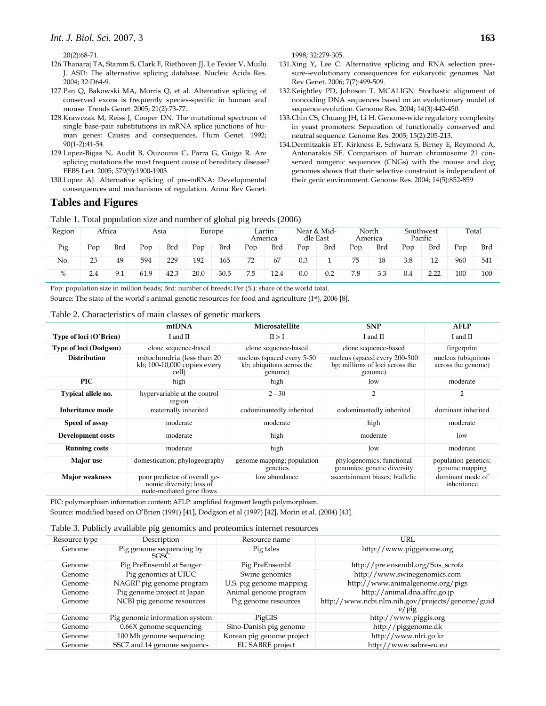20(2):68-71.

- 126. Thanaraj TA, Stamm S, Clark F, Riethoven JJ, Le Texier V, Muilu J. ASD: The alternative splicing database. Nucleic Acids Res. 2004; 32:D64-9.
- 127. Pan Q, Bakowski MA, Morris Q, et al. Alternative splicing of conserved exons is frequently species-specific in human and mouse. Trends Genet. 2005; 21(2):73-77.
- 128. Krawczak M, Reiss J, Cooper DN. The mutational spectrum of single base-pair substitutions in mRNA splice junctions of human genes: Causes and consequences. Hum Genet. 1992; 90(1-2):41-54.
- 129. Lopez-Bigas N, Audit B, Ouzounis C, Parra G, Guigo R. Are splicing mutations the most frequent cause of hereditary disease? FEBS Lett. 2005; 579(9):1900-1903.
- 130. Lopez AJ. Alternative splicing of pre-mRNA: Developmental consequences and mechanisms of regulation. Annu Rev Genet.

#### **Tables and Figures**

Table 1. Total population size and number of global pig breeds (2006)

| Region | Africa |            |      | Asia       |      | Europe     |     | Lartin<br>America | dle East | Near & Mid- | North | America    |     | Southwest<br>Pacific | Total |            |
|--------|--------|------------|------|------------|------|------------|-----|-------------------|----------|-------------|-------|------------|-----|----------------------|-------|------------|
| Pig    | Pop    | <b>Brd</b> | Pop  | <b>Brd</b> | Pop  | <b>Brd</b> | Pop | <b>Brd</b>        | Pop      | Brd         | Pop   | <b>Brd</b> | Pop | <b>Brd</b>           | Pop   | <b>Brd</b> |
| No.    | 23     | 49         | 594  | 229        | 192  | 165        | 72  | 67                | 0.3      |             | 75    | 18         | 3.8 | 12                   | 960   | 541        |
| %      | 2.4    | 9.1        | 61.9 | 42.3       | 20.0 | 30.5       | 7.5 | 12.4              | 0.0      | 0.2         | 7.8   | 3.3        | 0.4 | 2.22                 | 100   | 100        |

Pop: population size in million heads; Brd: number of breeds; Per (%): share of the world total.

Source: The state of the world's animal genetic resources for food and agriculture (1st), 2006 [8].

#### Table 2. Characteristics of main classes of genetic markers

|                               | mtDNA                                                                                 | Microsatellite                                                      | <b>SNP</b>                                                                   | <b>AFLP</b>                               |
|-------------------------------|---------------------------------------------------------------------------------------|---------------------------------------------------------------------|------------------------------------------------------------------------------|-------------------------------------------|
| Type of loci (O'Brien)        | I and II                                                                              | II > I                                                              | I and II                                                                     | I and II                                  |
| <b>Type of loci (Dodgson)</b> | clone sequence-based                                                                  | clone sequence-based                                                | clone sequence-based                                                         | fingerprint                               |
| <b>Distribution</b>           | mitochondria (less than 20<br>kb; 100-10,000 copies every<br>cell)                    | nucleus (spaced every 5-50)<br>kb; ubiquitous across the<br>genome) | nucleus (spaced every 200-500)<br>bp; millions of loci across the<br>genome) | nucleus (ubiquitous<br>across the genome) |
| <b>PIC</b>                    | high                                                                                  | high                                                                | low                                                                          | moderate                                  |
| Typical allele no.            | hypervariable at the control<br>region                                                | $2 - 30$                                                            | 2                                                                            | $\overline{c}$                            |
| Inheritance mode              | maternally inherited                                                                  | codominantedly inherited                                            | codominantedly inherited                                                     | dominant inherited                        |
| Speed of assay                | moderate                                                                              | moderate                                                            | high                                                                         | moderate                                  |
| Development costs             | moderate                                                                              | high                                                                | moderate                                                                     | low                                       |
| <b>Running costs</b>          | moderate                                                                              | high                                                                | low                                                                          | moderate                                  |
| <b>Major</b> use              | domestication; phylogeography                                                         | genome mapping; population<br>genetics                              | phylogenomics; functional<br>genomics; genetic diversity                     | population genetics;<br>genome mapping    |
| <b>Major</b> weakness         | poor predictor of overall ge-<br>nomic diversity; loss of<br>male-mediated gene flows | low abundance                                                       | ascertainment biases; biallelic                                              | dominant mode of<br>inheritance           |

PIC: polymorphism information content; AFLP: amplified fragment length polymorphism.

Source: modified based on O'Brien (1991) [41], Dodgson et al (1997) [42], Morin et al. (2004) [43].

|  |  | Table 3. Publicly available pig genomics and proteomics internet resources |  |  |
|--|--|----------------------------------------------------------------------------|--|--|
|  |  |                                                                            |  |  |

| Resource type | Description                      | Resource name             | URL                                                              |
|---------------|----------------------------------|---------------------------|------------------------------------------------------------------|
| Genome        | Pig genome sequencing by<br>SGSC | Pig tales                 | http://www.piggenome.org                                         |
| Genome        | Pig PreEnsembl at Sanger         | Pig PreEnsembl            | http://pre.ensembl.org/Sus_scrofa                                |
| Genome        | Pig genomics at UIUC             | Swine genomics            | http://www.swinegenomics.com                                     |
| Genome        | NAGRP pig genome program         | U.S. pig genome mapping   | http://www.animalgenome.org/pigs                                 |
| Genome        | Pig genome project at Japan      | Animal genome program     | http://animal.dna.affrc.go.jp                                    |
| Genome        | NCBI pig genome resources        | Pig genome resources      | http://www.ncbi.nlm.nih.gov/projects/genome/guid<br>$e$ / $pi$ g |
| Genome        | Pig genomic information system   | PigGIS                    | http://www.piggis.org                                            |
| Genome        | $0.66X$ genome sequencing        | Sino-Danish pig genome    | http://piggenome.dk                                              |
| Genome        | 100 Mb genome sequencing         | Korean pig genome project | http://www.nlri.go.kr                                            |
| Genome        | SSC7 and 14 genome sequenc-      | <b>EU SABRE</b> project   | http://www.sabre-eu.eu                                           |

1998; 32:279-305.

- 131. Xing Y, Lee C. Alternative splicing and RNA selection pressure--evolutionary consequences for eukaryotic genomes. Nat Rev Genet. 2006; 7(7):499-509.
- 132. Keightley PD, Johnson T. MCALIGN: Stochastic alignment of noncoding DNA sequences based on an evolutionary model of sequence evolution. Genome Res. 2004; 14(3):442-450.
- 133. Chin CS, Chuang JH, Li H. Genome-wide regulatory complexity in yeast promoters: Separation of functionally conserved and neutral sequence. Genome Res. 2005; 15(2):205-213.
- 134. Dermitzakis ET, Kirkness E, Schwarz S, Birney E, Reymond A, Antonarakis SE. Comparison of human chromosome 21 conserved nongenic sequences (CNGs) with the mouse and dog genomes shows that their selective constraint is independent of their genic environment. Genome Res. 2004; 14(5):852-859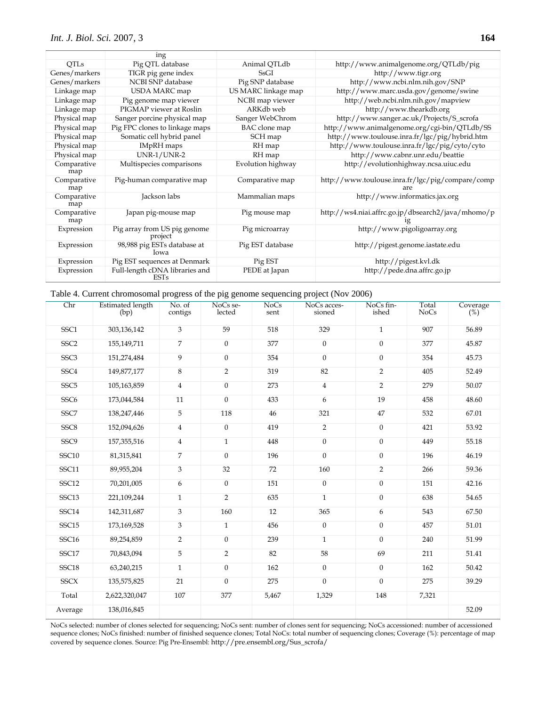|                    | ing                                           |                     |                                                         |
|--------------------|-----------------------------------------------|---------------------|---------------------------------------------------------|
| <b>OTLs</b>        | Pig QTL database                              | Animal QTLdb        | http://www.animalgenome.org/QTLdb/pig                   |
| Genes/markers      | TIGR pig gene index                           | SsGI                | http://www.tigr.org                                     |
| Genes/markers      | NCBI SNP database                             | Pig SNP database    | http://www.ncbi.nlm.nih.gov/SNP                         |
| Linkage map        | USDA MARC map                                 | US MARC linkage map | http://www.marc.usda.gov/genome/swine                   |
| Linkage map        | Pig genome map viewer                         | NCBI map viewer     | http://web.ncbi.nlm.nih.gov/mapview                     |
| Linkage map        | PIGMAP viewer at Roslin                       | ARKdb web           | http://www.thearkdb.org                                 |
| Physical map       | Sanger porcine physical map                   | Sanger WebChrom     | http://www.sanger.ac.uk/Projects/S_scrofa               |
| Physical map       | Pig FPC clones to linkage maps                | BAC clone map       | http://www.animalgenome.org/cgi-bin/QTLdb/SS            |
| Physical map       | Somatic cell hybrid panel                     | SCH map             | http://www.toulouse.inra.fr/lgc/pig/hybrid.htm          |
| Physical map       | <b>IMpRH</b> maps                             | RH map              | http://www.toulouse.inra.fr/lgc/pig/cyto/cyto           |
| Physical map       | <b>UNR-1/UNR-2</b>                            | RH map              | http://www.cabnr.unr.edu/beattie                        |
| Comparative<br>map | Multispecies comparisons                      | Evolution highway   | http://evolutionhighway.ncsa.uiuc.edu                   |
| Comparative<br>map | Pig-human comparative map                     | Comparative map     | http://www.toulouse.inra.fr/lgc/pig/compare/comp<br>are |
| Comparative<br>map | Jackson labs                                  | Mammalian maps      | http://www.informatics.jax.org                          |
| Comparative<br>map | Japan pig-mouse map                           | Pig mouse map       | http://ws4.niai.affrc.go.jp/dbsearch2/java/mhomo/p      |
| Expression         | Pig array from US pig genome<br>project       | Pig microarray      | http://www.pigoligoarray.org                            |
| Expression         | 98,988 pig ESTs database at<br>Iowa           | Pig EST database    | http://pigest.genome.iastate.edu                        |
| Expression         | Pig EST sequences at Denmark                  | Pig EST             | http://pigest.kvl.dk                                    |
| Expression         | Full-length cDNA libraries and<br><b>ESTs</b> | PEDE at Japan       | http://pede.dna.affrc.go.jp                             |

Table 4. Current chromosomal progress of the pig genome sequencing project (Nov 2006)

| Chr              | Estimated length<br>(bp) | No. of<br>contigs       | NoCs se-<br>lected | <b>NoCs</b><br>sent | NoCs acces-<br>sioned | NoCs fin-<br>ished | Total<br><b>NoCs</b> | Coverage<br>(%) |
|------------------|--------------------------|-------------------------|--------------------|---------------------|-----------------------|--------------------|----------------------|-----------------|
| SSC1             | 303,136,142              | 3                       | 59                 | 518                 | 329                   | $\mathbf{1}$       | 907                  | 56.89           |
| SSC <sub>2</sub> | 155,149,711              | 7                       | $\mathbf{0}$       | 377                 | $\mathbf{0}$          | $\boldsymbol{0}$   | 377                  | 45.87           |
| SSC <sub>3</sub> | 151,274,484              | 9                       | $\mathbf{0}$       | 354                 | $\mathbf{0}$          | $\overline{0}$     | 354                  | 45.73           |
| SSC <sub>4</sub> | 149,877,177              | 8                       | $\overline{2}$     | 319                 | 82                    | $\overline{2}$     | 405                  | 52.49           |
| SSC <sub>5</sub> | 105,163,859              | $\overline{4}$          | $\mathbf{0}$       | 273                 | $\overline{4}$        | $\overline{2}$     | 279                  | 50.07           |
| SSC <sub>6</sub> | 173,044,584              | 11                      | $\overline{0}$     | 433                 | 6                     | 19                 | 458                  | 48.60           |
| SSC7             | 138,247,446              | 5                       | 118                | 46                  | 321                   | 47                 | 532                  | 67.01           |
| SSC <sub>8</sub> | 152,094,626              | $\overline{4}$          | $\mathbf{0}$       | 419                 | $\overline{2}$        | $\boldsymbol{0}$   | 421                  | 53.92           |
| SSC9             | 157, 355, 516            | $\overline{\mathbf{4}}$ | $\mathbf{1}$       | 448                 | $\mathbf{0}$          | $\overline{0}$     | 449                  | 55.18           |
| <b>SSC10</b>     | 81,315,841               | 7                       | $\theta$           | 196                 | $\mathbf{0}$          | $\boldsymbol{0}$   | 196                  | 46.19           |
| SSC11            | 89,955,204               | $\overline{3}$          | 32                 | 72                  | 160                   | $\overline{2}$     | 266                  | 59.36           |
| SSC12            | 70,201,005               | 6                       | $\overline{0}$     | 151                 | $\mathbf{0}$          | $\overline{0}$     | 151                  | 42.16           |
| SSC13            | 221,109,244              | $\mathbf{1}$            | $\overline{2}$     | 635                 | $\mathbf{1}$          | $\boldsymbol{0}$   | 638                  | 54.65           |
| SSC14            | 142,311,687              | 3                       | 160                | 12                  | 365                   | 6                  | 543                  | 67.50           |
| SSC15            | 173,169,528              | 3                       | $\mathbf{1}$       | 456                 | $\mathbf{0}$          | $\overline{0}$     | 457                  | 51.01           |
| SSC16            | 89,254,859               | $\overline{2}$          | $\overline{0}$     | 239                 | $\mathbf{1}$          | $\overline{0}$     | 240                  | 51.99           |
| SSC17            | 70,843,094               | 5                       | $\overline{2}$     | 82                  | 58                    | 69                 | 211                  | 51.41           |
| SSC18            | 63,240,215               | $\mathbf{1}$            | $\boldsymbol{0}$   | 162                 | $\overline{0}$        | $\boldsymbol{0}$   | 162                  | 50.42           |
| <b>SSCX</b>      | 135,575,825              | 21                      | $\mathbf{0}$       | 275                 | $\mathbf{0}$          | $\boldsymbol{0}$   | 275                  | 39.29           |
| Total            | 2,622,320,047            | 107                     | 377                | 5,467               | 1,329                 | 148                | 7,321                |                 |
| Average          | 138,016,845              |                         |                    |                     |                       |                    |                      | 52.09           |

NoCs selected: number of clones selected for sequencing; NoCs sent: number of clones sent for sequencing; NoCs accessioned: number of accessioned sequence clones; NoCs finished: number of finished sequence clones; Total NoCs: total number of sequencing clones; Coverage (%): percentage of map covered by sequence clones. Source: Pig Pre-Ensembl: http://pre.ensembl.org/Sus\_scrofa/